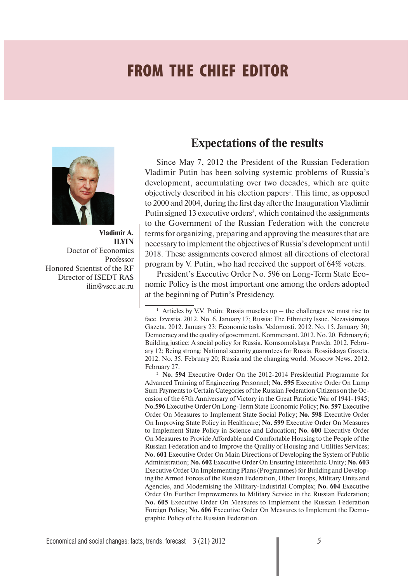## **FROM THE CHIEF EDITOR**



**Vladimir A. ILYIN** Doctor of Economics Professor Honored Scientist of the RF Director of ISEDT RAS ilin@vscc.ac.ru

### **Expectations of the results**

Since May 7, 2012 the President of the Russian Federation Vladimir Putin has been solving systemic problems of Russia's development, accumulating over two decades, which are quite objectively described in his election papers<sup>1</sup>. This time, as opposed to 2000 and 2004, during the first day after the Inauguration Vladimir Putin signed 13 executive orders<sup>2</sup>, which contained the assignments to the Government of the Russian Federation with the concrete terms for organizing, preparing and approving the measures that are necessary to implement the objectives of Russia's development until 2018. These assignments covered almost all directions of electoral program by V. Putin, who had received the support of 64% voters.

President's Executive Order No. 596 on Long-Term State Economic Policy is the most important one among the orders adopted at the beginning of Putin's Presidency.

2  **No. 594** Executive Order On the 2012-2014 Presidential Programme for Advanced Training of Engineering Personnel; **No. 595** Executive Order On Lump Sum Payments to Certain Categories of the Russian Federation Citizens on the Occasion of the 67th Anniversary of Victory in the Great Patriotic War of 1941-1945; **No.596** Executive Order On Long-Term State Economic Policy; **No. 597** Executive Order On Measures to Implement State Social Policy; **No. 598** Executive Order On Improving State Policy in Healthcare; **No. 599** Executive Order On Measures to Implement State Policy in Science and Education; **No. 600** Executive Order On Measures to Provide Affordable and Comfortable Housing to the People of the Russian Federation and to Improve the Quality of Housing and Utilities Services; **No. 601** Executive Order On Main Directions of Developing the System of Public Administration; **No. 602** Executive Order On Ensuring Interethnic Unity; **No. 603**  Executive Order On Implementing Plans (Programmes) for Building and Developing the Armed Forces of the Russian Federation, Other Troops, Military Units and Agencies, and Modernising the Military-Industrial Complex; **No. 604** Executive Order On Further Improvements to Military Service in the Russian Federation; **No. 605** Executive Order On Measures to Implement the Russian Federation Foreign Policy; **No. 606** Executive Order On Measures to Implement the Demographic Policy of the Russian Federation.

<sup>1</sup> Articles by V.V. Putin: Russia muscles up – the challenges we must rise to face. Izvestia. 2012. No. 6. January 17; Russia: The Ethnicity Issue. Nezavisimaya Gazeta. 2012. January 23; Economic tasks. Vedomosti. 2012. No. 15. January 30; Democracy and the quality of government. Kommersant. 2012. No. 20. February 6; Building justice: A social policy for Russia. Komsomolskaya Pravda. 2012. February 12; Being strong: National security guarantees for Russia. Rossiiskaya Gazeta. 2012. No. 35. February 20; Russia and the changing world. Moscow News. 2012. February 27.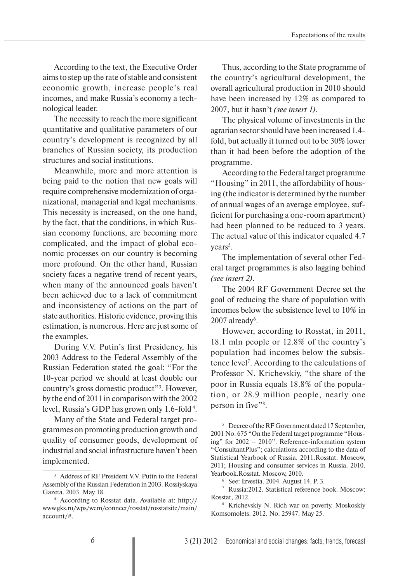According to the text, the Executive Order aims to step up the rate of stable and consistent economic growth, increase people's real incomes, and make Russia's economy a technological leader.

The necessity to reach the more significant quantitative and qualitative parameters of our country's development is recognized by all branches of Russian society, its production structures and social institutions.

Meanwhile, more and more attention is being paid to the notion that new goals will require comprehensive modernization of organizational, managerial and legal mechanisms. This necessity is increased, on the one hand, by the fact, that the conditions, in which Russian economy functions, are becoming more complicated, and the impact of global economic processes on our country is becoming more profound. On the other hand, Russian society faces a negative trend of recent years, when many of the announced goals haven't been achieved due to a lack of commitment and inconsistency of actions on the part of state authorities. Historic evidence, proving this estimation, is numerous. Here are just some of the examples.

During V.V. Putin's first Presidency, his 2003 Address to the Federal Assembly of the Russian Federation stated the goal: "For the 10-year period we should at least double our country's gross domestic product"3 . However, by the end of 2011 in comparison with the 2002 level, Russia's GDP has grown only 1.6-fold 4.

Many of the State and Federal target programmes on promoting production growth and quality of consumer goods, development of industrial and social infrastructure haven't been implemented.

Thus, according to the State programme of the country's agricultural development, the overall agricultural production in 2010 should have been increased by 12% as compared to 2007, but it hasn't *(see insert 1)*.

The physical volume of investments in the agrarian sector should have been increased 1.4 fold, but actually it turned out to be 30% lower than it had been before the adoption of the programme.

According to the Federal target programme "Housing" in 2011, the affordability of housing (the indicator is determined by the number of annual wages of an average employee, sufficient for purchasing a one-room apartment) had been planned to be reduced to 3 years. The actual value of this indicator equaled 4.7 years<sup>5</sup>.

The implementation of several other Federal target programmes is also lagging behind *(see insert 2)*.

The 2004 RF Government Decree set the goal of reducing the share of population with incomes below the subsistence level to 10% in  $2007$  already<sup>6</sup>.

However, according to Rosstat, in 2011, 18.1 mln people or 12.8% of the country's population had incomes below the subsistence level7 . According to the calculations of Professor N. Krichevskiy, "the share of the poor in Russia equals 18.8% of the population, or 28.9 million people, nearly one person in five"<sup>8</sup>.

<sup>3</sup> Address of RF President V.V. Putin to the Federal Assembly of the Russian Federation in 2003. Rossiyskaya Gazeta. 2003. May 18.

<sup>4</sup> According to Rosstat data. Available at: http:// www.gks.ru/wps/wcm/connect/rosstat/rosstatsite/main/ account/#.

<sup>&</sup>lt;sup>5</sup> Decree of the RF Government dated 17 September, 2001 No. 675 "On the Federal target programme "Housing" for 2002 – 2010". Reference-information system "ConsultantPlus"; calculations according to the data of Statistical Yearbook of Russia. 2011.Rosstat. Moscow, 2011; Housing and consumer services in Russia. 2010. Yearbook.Rosstat. Moscow, 2010.

<sup>6</sup> See: Izvestia. 2004. August 14. P. 3.

<sup>7</sup> Russia:2012. Statistical reference book. Moscow: Rosstat, 2012.

<sup>8</sup> Krichevskiy N. Rich war on poverty. Moskoskiy Komsomolets. 2012. No. 25947. May 25.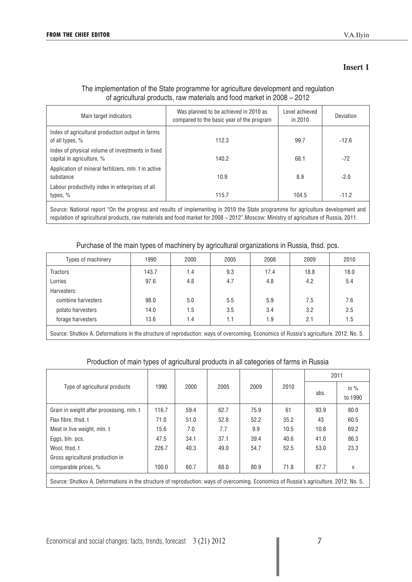#### **Insert 1**

#### The implementation of the State programme for agriculture development and regulation of agricultural products, raw materials and food market in 2008 – 2012

| Main target indicators                                                        | Was planned to be achieved in 2010 as<br>compared to the basic year of the program | Level achieved<br>in 2010 | Deviation |
|-------------------------------------------------------------------------------|------------------------------------------------------------------------------------|---------------------------|-----------|
| Index of agricultural production output in farms<br>of all types, %           | 112.3                                                                              | 99.7                      | $-12.6$   |
| Index of physical volume of investments in fixed<br>capital in agriculture, % | 140.2                                                                              | 68.1                      | $-72$     |
| Application of mineral fertilizers, mln. t in active<br>substance             | 10.9                                                                               | 8.9                       | $-2.0$    |
| Labour productivity index in enterprises of all<br>types, %                   | 115.7                                                                              | 104.5                     | $-11.2$   |

Source: National report "On the progress and results of implementing in 2010 the State programme for agriculture development and regulation of agricultural products, raw materials and food market for 2008 – 2012".Moscow: Ministry of agriculture of Russia, 2011.

#### Purchase of the main types of machinery by agricultural organizations in Russia, thsd. pcs.

| Types of machinery | 1990  | 2000 | 2005 | 2008 | 2009 | 2010 |
|--------------------|-------|------|------|------|------|------|
| <b>Tractors</b>    | 143.7 | 1.4  | 9.3  | 17.4 | 18.8 | 18.0 |
| Lorries            | 97.6  | 4.8  | 4.7  | 4.8  | 4.2  | 5.4  |
| Harvesters:        |       |      |      |      |      |      |
| combine harvesters | 98.0  | 5.0  | 5.5  | 5.9  | 7.5  | 7.6  |
| potato harvesters  | 14.0  | 1.5  | 3.5  | 3.4  | 3.2  | 2.5  |
| forage harvesters  | 13.6  | 1.4  |      | 1.9  | 2.1  | 1.5  |
|                    |       |      |      |      |      |      |

Source: Shutkov A. Deformations in the structure of reproduction: ways of overcoming. Economics of Russia's agriculture. 2012. No. 5.

#### Production of main types of agricultural products in all categories of farms in Russia

|                                                                                                                                       |       |      |      |      |      |      | 2011              |
|---------------------------------------------------------------------------------------------------------------------------------------|-------|------|------|------|------|------|-------------------|
| Type of agricultural products                                                                                                         | 1990  | 2000 | 2005 | 2009 | 2010 | abs. | in $%$<br>to 1990 |
| Grain in weight after processing, mln. t                                                                                              | 116.7 | 59.4 | 62.7 | 75.9 | 61   | 93.9 | 80.0              |
| Flax fibre, thsd. t                                                                                                                   | 71.0  | 51.0 | 52.8 | 52.2 | 35.2 | 43   | 60.5              |
| Meat in live weight, mln. t                                                                                                           | 15.6  | 7.0  | 7.7  | 9.9  | 10.5 | 10.8 | 69.2              |
| Eggs, bln. pcs.                                                                                                                       | 47.5  | 34.1 | 37.1 | 39.4 | 40.6 | 41.0 | 86.3              |
| Wool. thsd. t                                                                                                                         | 226.7 | 40.3 | 49.0 | 54.7 | 52.5 | 53.0 | 23.3              |
| Gross agricultural production in                                                                                                      |       |      |      |      |      |      |                   |
| comparable prices, %                                                                                                                  | 100.0 | 60.7 | 68.0 | 80.9 | 71.8 | 87.7 | X                 |
| Source: Shutkov A. Deformations in the structure of reproduction: ways of overcoming. Economics of Russia's agriculture. 2012. No. 5. |       |      |      |      |      |      |                   |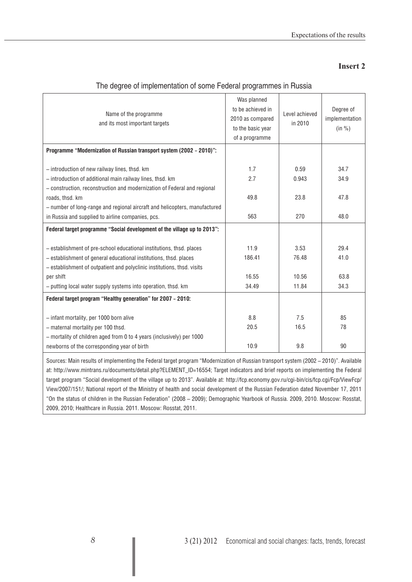#### **Insert 2**

| Name of the programme<br>and its most important targets                                                                               | Was planned<br>to be achieved in<br>2010 as compared<br>to the basic year<br>of a programme | Level achieved<br>in 2010 | Degree of<br>implementation<br>(in %) |
|---------------------------------------------------------------------------------------------------------------------------------------|---------------------------------------------------------------------------------------------|---------------------------|---------------------------------------|
| Programme "Modernization of Russian transport system (2002 - 2010)":                                                                  |                                                                                             |                           |                                       |
|                                                                                                                                       |                                                                                             |                           |                                       |
| - introduction of new railway lines, thsd. km                                                                                         | 1.7                                                                                         | 0.59                      | 34.7                                  |
| - introduction of additional main railway lines, thsd. km                                                                             | 2.7                                                                                         | 0.943                     | 34.9                                  |
| - construction, reconstruction and modernization of Federal and regional                                                              |                                                                                             |                           |                                       |
| roads, thsd. km                                                                                                                       | 49.8                                                                                        | 23.8                      | 47.8                                  |
| - number of long-range and regional aircraft and helicopters, manufactured                                                            |                                                                                             |                           |                                       |
| in Russia and supplied to airline companies, pcs.                                                                                     | 563                                                                                         | 270                       | 48.0                                  |
| Federal target programme "Social development of the village up to 2013":                                                              |                                                                                             |                           |                                       |
|                                                                                                                                       |                                                                                             |                           |                                       |
| - establishment of pre-school educational institutions, thsd. places                                                                  | 11.9                                                                                        | 3.53                      | 29.4                                  |
| - establishment of general educational institutions, thsd. places                                                                     | 186.41                                                                                      | 76.48                     | 41.0                                  |
| - establishment of outpatient and polyclinic institutions, thsd. visits                                                               |                                                                                             |                           |                                       |
| per shift                                                                                                                             | 16.55                                                                                       | 10.56                     | 63.8                                  |
| - putting local water supply systems into operation, thsd. km                                                                         | 34.49                                                                                       | 11.84                     | 34.3                                  |
| Federal target program "Healthy generation" for 2007 - 2010:                                                                          |                                                                                             |                           |                                       |
|                                                                                                                                       |                                                                                             |                           |                                       |
| - infant mortality, per 1000 born alive                                                                                               | 8.8                                                                                         | 7.5                       | 85                                    |
| - maternal mortality per 100 thsd.                                                                                                    | 20.5                                                                                        | 16.5                      | 78                                    |
| - mortality of children aged from 0 to 4 years (inclusively) per 1000                                                                 |                                                                                             |                           |                                       |
| newborns of the corresponding year of birth                                                                                           | 10.9                                                                                        | 9.8                       | 90                                    |
| Sources: Main results of implementing the Federal target program "Modernization of Russian transport system (2002 – 2010)". Available |                                                                                             |                           |                                       |

#### The degree of implementation of some Federal programmes in Russia

Sources: Main results of implementing the Federal target program "Modernization of Russian transport system (2002 – 2010)". Available at: http://www.mintrans.ru/documents/detail.php?ELEMENT\_ID=16554; Target indicators and brief reports on implementing the Federal target program "Social development of the village up to 2013". Available at: http://fcp.economy.gov.ru/cgi-bin/cis/fcp.cgi/Fcp/ViewFcp/ View/2007/151/; National report of the Ministry of health and social development of the Russian Federation dated November 17, 2011 "On the status of children in the Russian Federation" (2008 – 2009); Demographic Yearbook of Russia. 2009, 2010. Moscow: Rosstat, 2009, 2010; Healthcare in Russia. 2011. Moscow: Rosstat, 2011.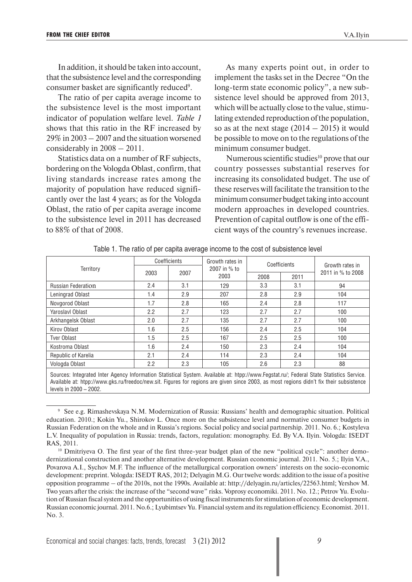levels in 2000 – 2002.

In addition, it should be taken into account, that the subsistence level and the corresponding consumer basket are significantly reduced<sup>9</sup>.

The ratio of per capita average income to the subsistence level is the most important indicator of population welfare level. *Table 1*  shows that this ratio in the RF increased by 29% in 2003 – 2007 and the situation worsened considerably in 2008 – 2011.

Statistics data on a number of RF subjects, bordering on the Vologda Oblast, confirm, that living standards increase rates among the majority of population have reduced significantly over the last 4 years; as for the Vologda Oblast, the ratio of per capita average income to the subsistence level in 2011 has decreased to 88% of that of 2008.

As many experts point out, in order to implement the tasks set in the Decree "On the long-term state economic policy", a new subsistence level should be approved from 2013, which will be actually close to the value, stimulating extended reproduction of the population, so as at the next stage  $(2014 - 2015)$  it would be possible to move on to the regulations of the minimum consumer budget.

Numerous scientific studies $10$  prove that our country possesses substantial reserves for increasing its consolidated budget. The use of these reserves will facilitate the transition to the minimum consumer budget taking into account modern approaches in developed countries. Prevention of capital outflow is one of the efficient ways of the country's revenues increase.

|                           |                                                                                                                                                                                                                                                                                     | Coefficients | Growth rates in      |      | Coefficients | Growth rates in<br>2011 in % to 2008 |  |  |  |  |  |
|---------------------------|-------------------------------------------------------------------------------------------------------------------------------------------------------------------------------------------------------------------------------------------------------------------------------------|--------------|----------------------|------|--------------|--------------------------------------|--|--|--|--|--|
| Territory                 | 2003                                                                                                                                                                                                                                                                                | 2007         | 2007 in % to<br>2003 | 2008 | 2011         |                                      |  |  |  |  |  |
|                           |                                                                                                                                                                                                                                                                                     |              |                      |      |              |                                      |  |  |  |  |  |
| <b>Russian Federation</b> | 2.4                                                                                                                                                                                                                                                                                 | 3.1          | 129                  | 3.3  | 3.1          | 94                                   |  |  |  |  |  |
| Leningrad Oblast          | 1.4                                                                                                                                                                                                                                                                                 | 2.9          | 207                  | 2.8  | 2.9          | 104                                  |  |  |  |  |  |
| Novgorod Oblast           | 1.7                                                                                                                                                                                                                                                                                 | 2.8          | 165                  | 2.4  | 2.8          | 117                                  |  |  |  |  |  |
| Yaroslavl Oblast          | 2.2                                                                                                                                                                                                                                                                                 | 2.7          | 123                  | 2.7  | 2.7          | 100                                  |  |  |  |  |  |
| Arkhangelsk Oblast        | 2.0                                                                                                                                                                                                                                                                                 | 2.7          | 135                  | 2.7  | 2.7          | 100                                  |  |  |  |  |  |
| Kirov Oblast              | 1.6                                                                                                                                                                                                                                                                                 | 2.5          | 156                  | 2.4  | 2.5          | 104                                  |  |  |  |  |  |
| <b>Tver Oblast</b>        | 1.5                                                                                                                                                                                                                                                                                 | 2.5          | 167                  | 2.5  | 2.5          | 100                                  |  |  |  |  |  |
| Kostroma Oblast           | 1.6                                                                                                                                                                                                                                                                                 | 2.4          | 150                  | 2.3  | 2.4          | 104                                  |  |  |  |  |  |
| Republic of Karelia       | 2.1                                                                                                                                                                                                                                                                                 | 2.4          | 114                  | 2.3  | 2.4          | 104                                  |  |  |  |  |  |
| Vologda Oblast            | 2.2                                                                                                                                                                                                                                                                                 | 2.3          | 105                  | 2.6  | 2.3          | 88                                   |  |  |  |  |  |
|                           | Sources: Integrated Inter Agency Information Statistical System. Available at: htpp://www.Fegstat.ru/; Federal State Statistics Service.<br>Available at: htpp://www.gks.ru/freedoc/new.sit. Figures for regions are given since 2003, as most regions didn't fix their subsistence |              |                      |      |              |                                      |  |  |  |  |  |

|  |  | Table 1. The ratio of per capita average income to the cost of subsistence level |
|--|--|----------------------------------------------------------------------------------|
|  |  |                                                                                  |

<sup>9</sup> See e.g. Rimashevskaya N.M. Modernization of Russia: Russians' health and demographic situation. Political education. 2010.; Kokin Yu., Shirokov L. Once more on the subsistence level amd normative consumer budgets in Russian Federation on the whole and in Russia's regions. Social policy and social partnership. 2011. No. 6.; Kostyleva L.V. Inequality of population in Russia: trends, factors, regulation: monography. Ed. By V.A. Ilyin. Vologda: ISEDT RAS, 2011.

<sup>&</sup>lt;sup>10</sup> Dmitriyeva O. The first year of the first three-year budget plan of the new "political cycle": another demodernizational construction and another alternative development. Russian economic journal. 2011. No. 5.; Ilyin V.A., Povarova A.I., Sychov M.F. The influence of the metallurgical corporation owners' interests on the socio-economic development: preprint. Vologda: ISEDT RAS, 2012; Delyagin M.G. Our twelve words: addition to the issue of a positive opposition programme – of the 2010s, not the 1990s. Available at: http://delyagin.ru/articles/22563.html; Yershov M. Two years after the crisis: the increase of the "second wave" risks. Voprosy economiki. 2011. No. 12.; Petrov Yu. Evolution of Russian fiscal system and the opportunities of using fiscal instruments for stimulation of economic development. Russian economic journal. 2011. No.6.; Lyubimtsev Yu. Financial system and its regulation efficiency. Economist. 2011. No. 3.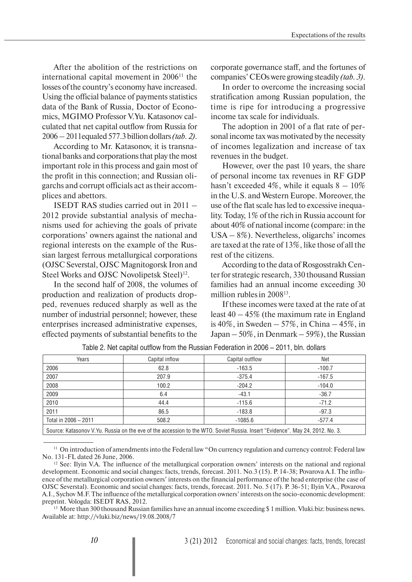After the abolition of the restrictions on international capital movement in  $2006<sup>11</sup>$  the losses of the country's economy have increased. Using the official balance of payments statistics data of the Bank of Russia, Doctor of Economics, MGIMO Professor V.Yu. Katasonov calculated that net capital outflow from Russia for 2006 – 2011equaled 577.3 billion dollars *(tab. 2)*.

According to Mr. Katasonov, it is transnational banks and corporations that play the most important role in this process and gain most of the profit in this connection; and Russian oligarchs and corrupt officials act as their accomplices and abettors.

ISEDT RAS studies carried out in 2011 – 2012 provide substantial analysis of mechanisms used for achieving the goals of private corporations' owners against the national and regional interests on the example of the Russian largest ferrous metallurgical corporations (OJSC Severstal, OJSC Magnitogorsk Iron and Steel Works and OJSC Novolipetsk Steel)<sup>12</sup>.

In the second half of 2008, the volumes of production and realization of products dropped, revenues reduced sharply as well as the number of industrial personnel; however, these enterprises increased administrative expenses, effected payments of substantial benefits to the

corporate governance staff, and the fortunes of companies' CEOs were growing steadily *(tab. 3)*.

In order to overcome the increasing social stratification among Russian population, the time is ripe for introducing a progressive income tax scale for individuals.

The adoption in 2001 of a flat rate of personal income tax was motivated by the necessity of incomes legalization and increase of tax revenues in the budget.

However, over the past 10 years, the share of personal income tax revenues in RF GDP hasn't exceeded 4%, while it equals  $8 - 10\%$ in the U.S. and Western Europe. Moreover, the use of the flat scale has led to excessive inequality. Today, 1% of the rich in Russia account for about 40% of national income (compare: in the USA – 8%). Nevertheless, oligarchs' incomes are taxed at the rate of 13%, like those of all the rest of the citizens.

According to the data of Rosgosstrakh Center for strategic research, 330 thousand Russian families had an annual income exceeding 30 million rubles in 2008<sup>13</sup>.

If these incomes were taxed at the rate of at least  $40 - 45\%$  (the maximum rate in England is 40%, in Sweden – 57%, in China – 45%, in Japan – 50%, in Denmark – 59%), the Russian

| Years                                                                                                                         | Capital inflow | Capital outflow | Net      |  |  |  |  |  |  |
|-------------------------------------------------------------------------------------------------------------------------------|----------------|-----------------|----------|--|--|--|--|--|--|
| 2006                                                                                                                          | 62.8           | $-163.5$        | $-100.7$ |  |  |  |  |  |  |
| 2007                                                                                                                          | 207.9          | $-375.4$        | $-167.5$ |  |  |  |  |  |  |
| 2008                                                                                                                          | 100.2          | $-204.2$        | $-104.0$ |  |  |  |  |  |  |
| 2009                                                                                                                          | 6.4            | $-43.1$         | $-36.7$  |  |  |  |  |  |  |
| 2010                                                                                                                          | 44.4           | $-115.6$        | $-71.2$  |  |  |  |  |  |  |
| 2011                                                                                                                          | 86.5           | $-183.8$        | $-97.3$  |  |  |  |  |  |  |
| Total in 2006 - 2011                                                                                                          | 508.2          | $-1085.6$       | $-577.4$ |  |  |  |  |  |  |
| Source: Katasonov V.Yu. Russia on the eve of the accession to the WTO. Soviet Russia. Insert "Evidence". May 24, 2012. No. 3. |                |                 |          |  |  |  |  |  |  |

Table 2. Net capital outflow from the Russian Federation in 2006 – 2011, bln. dollars

<sup>11</sup> On introduction of amendments into the Federal law "On currency regulation and currency control: Federal law No. 131-FL dated 26 June, 2006.

<sup>13</sup> More than 300 thousand Russian families have an annual income exceeding \$1 million. Vluki.biz: business news. Available at: http://vluki.biz/news/19.08.2008/7

<sup>&</sup>lt;sup>12</sup> See: Ilyin V.A. The influence of the metallurgical corporation owners' interests on the national and regional development. Economic and social changes: facts, trends, forecast. 2011. No.3 (15). P. 14-38; Povarova A.I. The influence of the metallurgical corporation owners' interests on the financial performance of the head enterprise (the case of OJSC Severstal). Economic and social changes: facts, trends, forecast. 2011. No. 5 (17). P. 36-51; Ilyin V.A., Povarova A.I., Sychov M.F. The influence of the metallurgical corporation owners' interests on the socio-economic development: preprint. Vologda: ISEDT RAS, 2012.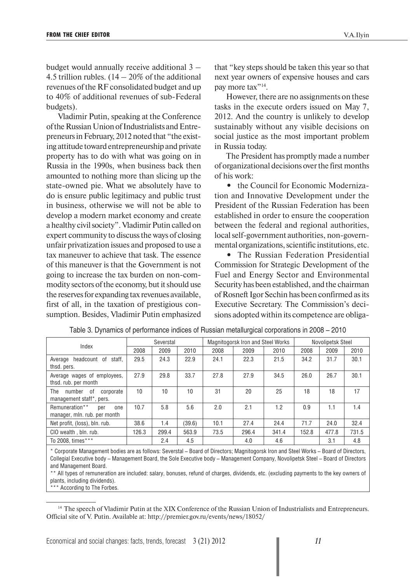budget would annually receive additional 3 – 4.5 trillion rubles.  $(14 - 20\%$  of the additional revenues of the RF consolidated budget and up to 40% of additional revenues of sub-Federal budgets).

Vladimir Putin, speaking at the Conference of the Russian Union of Industrialists and Entrepreneurs in February, 2012 noted that "the existing attitude toward entrepreneurship and private property has to do with what was going on in Russia in the 1990s, when business back then amounted to nothing more than slicing up the state-owned pie. What we absolutely have to do is ensure public legitimacy and public trust in business, otherwise we will not be able to develop a modern market economy and create a healthy civil society". Vladimir Putin called on expert community to discuss the ways of closing unfair privatization issues and proposed to use a tax maneuver to achieve that task. The essence of this maneuver is that the Government is not going to increase the tax burden on non-commodity sectors of the economy, but it should use the reserves for expanding tax revenues available, first of all, in the taxation of prestigious consumption. Besides, Vladimir Putin emphasized that "key steps should be taken this year so that next year owners of expensive houses and cars pay more tax"<sup>14</sup>.

However, there are no assignments on these tasks in the execute orders issued on May 7, 2012. And the country is unlikely to develop sustainably without any visible decisions on social justice as the most important problem in Russia today.

The President has promptly made a number of organizational decisions over the first months of his work:

• the Council for Economic Modernization and Innovative Development under the President of the Russian Federation has been established in order to ensure the cooperation between the federal and regional authorities, local self-government authorities, non-governmental organizations, scientific institutions, etc.

**•** The Russian Federation Presidential Commission for Strategic Development of the Fuel and Energy Sector and Environmental Security has been established, and the chairman of Rosneft Igor Sechin has been confirmed as its Executive Secretary. The Commission's decisions adopted within its competence are obliga-

| Index                                                        |       | Severstal |        |      | Magnitogorsk Iron and Steel Works |       |       | Novolipetsk Steel |       |
|--------------------------------------------------------------|-------|-----------|--------|------|-----------------------------------|-------|-------|-------------------|-------|
|                                                              | 2008  | 2009      | 2010   | 2008 | 2009                              | 2010  | 2008  | 2009              | 2010  |
| headcount of<br>staff.<br>Average<br>thsd. pers.             | 29.5  | 24.3      | 22.9   | 24.1 | 22.3                              | 21.5  | 34.2  | 31.7              | 30.1  |
| Average wages of employees,<br>thsd. rub. per month          | 27.9  | 29.8      | 33.7   | 27.8 | 27.9                              | 34.5  | 26.0  | 26.7              | 30.1  |
| number of<br>The<br>corporate<br>management staff*, pers.    | 10    | 10        | 10     | 31   | 20                                | 25    | 18    | 18                | 17    |
| Remuneration**<br>per<br>one<br>manager, mln. rub. per month | 10.7  | 5.8       | 5.6    | 2.0  | 2.1                               | 1.2   | 0.9   | 1.1               | 1.4   |
| Net profit, (loss), bln. rub.                                | 38.6  | 1.4       | (39.6) | 10.1 | 27.4                              | 24.4  | 71.7  | 24.0              | 32.4  |
| CIO wealth, bln. rub.                                        | 126.3 | 299.4     | 563.9  | 73.5 | 296.4                             | 341.4 | 152.8 | 477.8             | 731.5 |
| To 2008, times***                                            |       | 2.4       | 4.5    |      | 4.0                               | 4.6   |       | 3.1               | 4.8   |

| Table 3. Dynamics of performance indices of Russian metallurgical corporations in 2008 – 2010 |
|-----------------------------------------------------------------------------------------------|
|-----------------------------------------------------------------------------------------------|

\* Corporate Management bodies are as follows: Severstal – Board of Directors; Magnitogorsk Iron and Steel Works – Board of Directors, Collegial Executive body – Management Board, the Sole Executive body – Management Company, Novolipetsk Steel – Board of Directors and Management Board.

\*\* All types of remuneration are included: salary, bonuses, refund of charges, dividends, etc. (excluding payments to the key owners of plants, including dividends).

\*\*\* According to The Forbes.

<sup>&</sup>lt;sup>14</sup> The speech of Vladimir Putin at the XIX Conference of the Russian Union of Industrialists and Entrepreneurs. Official site of V. Putin. Available at: http://premier.gov.ru/events/news/18052/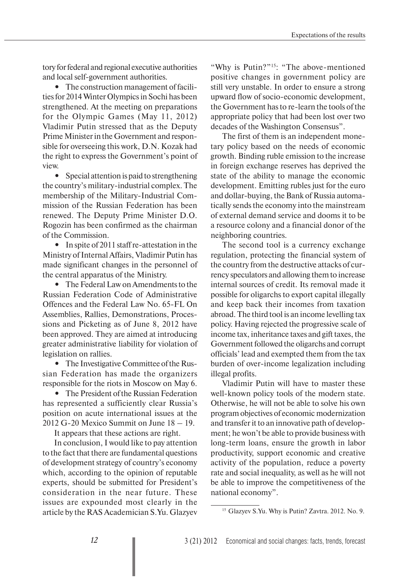tory for federal and regional executive authorities and local self-government authorities.

**•** The construction management of facilities for 2014 Winter Olympics in Sochi has been strengthened. At the meeting on preparations for the Olympic Games (May 11, 2012) Vladimir Putin stressed that as the Deputy Prime Minister in the Government and responsible for overseeing this work, D.N. Kozak had the right to express the Government's point of view.

**•** Special attention is paid to strengthening the country's military-industrial complex. The membership of the Military-Industrial Commission of the Russian Federation has been renewed. The Deputy Prime Minister D.O. Rogozin has been confirmed as the chairman of the Commission.

• In spite of 2011 staff re-attestation in the Ministry of Internal Affairs, Vladimir Putin has made significant changes in the personnel of the central apparatus of the Ministry.

**•** The Federal Law on Amendments to the Russian Federation Code of Administrative Offences and the Federal Law No. 65-FL On Assemblies, Rallies, Demonstrations, Processions and Picketing as of June 8, 2012 have been approved. They are aimed at introducing greater administrative liability for violation of legislation on rallies.

**•** The Investigative Committee of the Russian Federation has made the organizers responsible for the riots in Moscow on May 6.

**•** The President of the Russian Federation has represented a sufficiently clear Russia's position on acute international issues at the 2012 G-20 Mexico Summit on June 18 – 19.

It appears that these actions are right.

In conclusion, I would like to pay attention to the fact that there are fundamental questions of development strategy of country's economy which, according to the opinion of reputable experts, should be submitted for President's consideration in the near future. These issues are expounded most clearly in the article by the RAS Academician S.Yu. Glazyev

"Why is Putin?"<sup>15</sup>: "The above-mentioned positive changes in government policy are still very unstable. In order to ensure a strong upward flow of socio-economic development, the Government has to re-learn the tools of the appropriate policy that had been lost over two decades of the Washington Consensus".

The first of them is an independent monetary policy based on the needs of economic growth. Binding ruble emission to the increase in foreign exchange reserves has deprived the state of the ability to manage the economic development. Emitting rubles just for the euro and dollar-buying, the Bank of Russia automatically sends the economy into the mainstream of external demand service and dooms it to be a resource colony and a financial donor of the neighboring countries.

The second tool is a currency exchange regulation, protecting the financial system of the country from the destructive attacks of currency speculators and allowing them to increase internal sources of credit. Its removal made it possible for oligarchs to export capital illegally and keep back their incomes from taxation abroad. The third tool is an income levelling tax policy. Having rejected the progressive scale of income tax, inheritance taxes and gift taxes, the Government followed the oligarchs and corrupt officials' lead and exempted them from the tax burden of over-income legalization including illegal profits.

Vladimir Putin will have to master these well-known policy tools of the modern state. Otherwise, he will not be able to solve his own program objectives of economic modernization and transfer it to an innovative path of development; he won't be able to provide business with long-term loans, ensure the growth in labor productivity, support economic and creative activity of the population, reduce a poverty rate and social inequality, as well as he will not be able to improve the competitiveness of the national economy".

<sup>&</sup>lt;sup>15</sup> Glazyev S.Yu. Why is Putin? Zavtra. 2012. No. 9.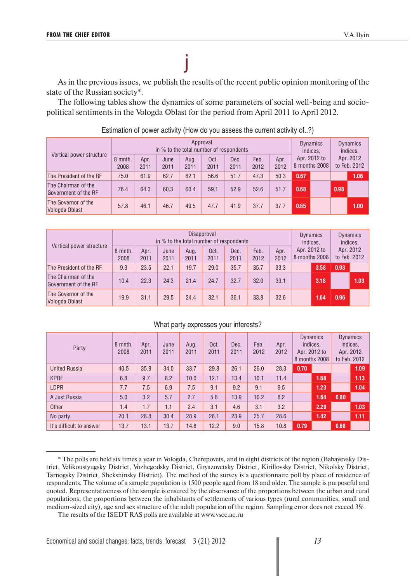As in the previous issues, we publish the results of the recent public opinion monitoring of the state of the Russian society\*.

j

The following tables show the dynamics of some parameters of social well-being and sociopolitical sentiments in the Vologda Oblast for the period from April 2011 to April 2012.

| Vertical power structure                    |                 |              | in % to the total number of respondents |              | Approval     |              |              |              | <b>Dynamics</b><br>indices.<br>Apr. 2012 to<br>8 months 2008 |  | <b>Dynamics</b><br>indices.<br>Apr. 2012<br>to Feb. 2012 |      |
|---------------------------------------------|-----------------|--------------|-----------------------------------------|--------------|--------------|--------------|--------------|--------------|--------------------------------------------------------------|--|----------------------------------------------------------|------|
|                                             | 8 mnth.<br>2008 | Apr.<br>2011 | June<br>2011                            | Aug.<br>2011 | Oct.<br>2011 | Dec.<br>2011 | Feb.<br>2012 | Apr.<br>2012 |                                                              |  |                                                          |      |
| The President of the RF                     | 75.0            | 61.9         | 62.7                                    | 62.1         | 56.6         | 51.7         | 47.3         | 50.3         | 0.67                                                         |  |                                                          | 1.06 |
| The Chairman of the<br>Government of the RF | 76.4            | 64.3         | 60.3                                    | 60.4         | 59.1         | 52.9         | 52.6         | 51.7         | 0.68                                                         |  | 0.98                                                     |      |
| The Governor of the<br>Vologda Oblast       | 57.8            | 46.1         | 46.7                                    | 49.5         | 47.7         | 41.9         | 37.7         | 37.7         | 0.65                                                         |  |                                                          | 1.00 |

Estimation of power activity (How do you assess the current activity of..?)

| Vertical power structure                    |                 |              |              | in % to the total number of respondents | Disapproval  |              |              |              | <b>Dynamics</b><br>indices.<br>Apr. 2012 to<br>8 months 2008 |      | <b>Dynamics</b><br>indices.<br>Apr. 2012<br>to Feb. 2012 |      |
|---------------------------------------------|-----------------|--------------|--------------|-----------------------------------------|--------------|--------------|--------------|--------------|--------------------------------------------------------------|------|----------------------------------------------------------|------|
|                                             | 8 mnth.<br>2008 | Apr.<br>2011 | June<br>2011 | Aug.<br>2011                            | Oct.<br>2011 | Dec.<br>2011 | Feb.<br>2012 | Apr.<br>2012 |                                                              |      |                                                          |      |
| The President of the RF                     | 9.3             | 23.5         | 22.1         | 19.7                                    | 29.0         | 35.7         | 35.7         | 33.3         |                                                              | 3.58 | 0.93                                                     |      |
| The Chairman of the<br>Government of the RF | 10.4            | 22.3         | 24.3         | 21.4                                    | 24.7         | 32.7         | 32.0         | 33.1         |                                                              | 3.18 |                                                          | 1.03 |
| The Governor of the<br>Vologda Oblast       | 19.9            | 31.1         | 29.5         | 24.4                                    | 32.1         | 36.1         | 33.8         | 32.6         |                                                              | 1.64 | 0.96                                                     |      |

#### What party expresses your interests?

| Party                    | 8 mnth.<br>2008 | Apr.<br>2011 | June<br>2011 | Aug.<br>2011 | Oct.<br>2011 | Dec.<br>2011 | Feb.<br>2012 | Apr.<br>2012 | <b>Dynamics</b><br>indices,<br>Apr. 2012 to<br>8 months 2008 |      | <b>Dynamics</b><br>indices.<br>Apr. 2012<br>to Feb. 2012 |      |
|--------------------------|-----------------|--------------|--------------|--------------|--------------|--------------|--------------|--------------|--------------------------------------------------------------|------|----------------------------------------------------------|------|
| <b>United Russia</b>     | 40.5            | 35.9         | 34.0         | 33.7         | 29.8         | 26.1         | 26.0         | 28.3         | 0.70                                                         |      |                                                          | 1.09 |
| <b>KPRF</b>              | 6.8             | 9.7          | 8.2          | 10.0         | 12.1         | 13.4         | 10.1         | 11.4         |                                                              | 1.68 |                                                          | 1.13 |
| <b>LDPR</b>              | 7.7             | 7.5          | 6.9          | 7.5          | 9.1          | 9.2          | 9.1          | 9.5          |                                                              | 1.23 |                                                          | 1.04 |
| A Just Russia            | 5.0             | 3.2          | 5.7          | 2.7          | 5.6          | 13.9         | 10.2         | 8.2          |                                                              | 1.64 | 0.80                                                     |      |
| Other                    | 1.4             | 1.7          | 1.1          | 2.4          | 3.1          | 4.6          | 3.1          | 3.2          |                                                              | 2.29 |                                                          | 1.03 |
| No party                 | 20.1            | 28.8         | 30.4         | 28.9         | 28.1         | 23.9         | 25.7         | 28.6         |                                                              | 1.42 |                                                          | 1.11 |
| It's difficult to answer | 13.7            | 13.1         | 13.7         | 14.8         | 12.2         | 9.0          | 15.8         | 10.8         | 0.79                                                         |      | 0.68                                                     |      |

<sup>\*</sup> The polls are held six times a year in Vologda, Cherepovets, and in eight districts of the region (Babayevsky District, Velikoustyugsky District, Vozhegodsky District, Gryazovetsky District, Kirillovsky District, Nikolsky District, Tarnogsky District, Sheksninsky District). The method of the survey is a questionnaire poll by place of residence of respondents. The volume of a sample population is 1500 people aged from 18 and older. The sample is purposeful and quoted. Representativeness of the sample is ensured by the observance of the proportions between the urban and rural populations, the proportions between the inhabitants of settlements of various types (rural communities, small and medium-sized city), age and sex structure of the adult population of the region. Sampling error does not exceed 3%.

The results of the ISEDT RAS polls are available at www.vscc.ac.ru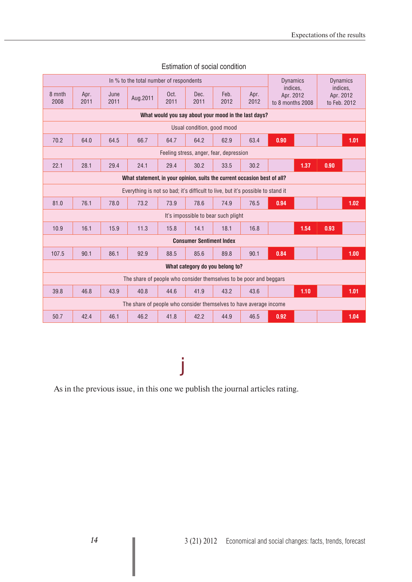|                |              |              | In % to the total number of respondents                                         |              |                                         |              |                                                      | <b>Dynamics</b>                           | <b>Dynamics</b>                       |
|----------------|--------------|--------------|---------------------------------------------------------------------------------|--------------|-----------------------------------------|--------------|------------------------------------------------------|-------------------------------------------|---------------------------------------|
| 8 mnth<br>2008 | Apr.<br>2011 | June<br>2011 | Aug.2011                                                                        | Oct.<br>2011 | Dec.<br>2011                            | Feb.<br>2012 | Apr.<br>2012                                         | indices.<br>Apr. 2012<br>to 8 months 2008 | indices.<br>Apr. 2012<br>to Feb. 2012 |
|                |              |              |                                                                                 |              |                                         |              | What would you say about your mood in the last days? |                                           |                                       |
|                |              |              |                                                                                 |              | Usual condition, good mood              |              |                                                      |                                           |                                       |
| 70.2           | 64.0         | 64.5         | 66.7                                                                            | 64.7         | 64.2                                    | 62.9         | 63.4                                                 | 0.90                                      | 1.01                                  |
|                |              |              |                                                                                 |              | Feeling stress, anger, fear, depression |              |                                                      |                                           |                                       |
| 22.1           | 28.1         | 29.4         | 24.1                                                                            | 29.4         | 30.2                                    | 33.5         | 30.2                                                 | 1.37                                      | 0.90                                  |
|                |              |              | What statement, in your opinion, suits the current occasion best of all?        |              |                                         |              |                                                      |                                           |                                       |
|                |              |              | Everything is not so bad; it's difficult to live, but it's possible to stand it |              |                                         |              |                                                      |                                           |                                       |
| 81.0           | 76.1         | 78.0         | 73.2                                                                            | 73.9         | 78.6                                    | 74.9         | 76.5                                                 | 0.94                                      | 1.02                                  |
|                |              |              |                                                                                 |              | It's impossible to bear such plight     |              |                                                      |                                           |                                       |
| 10.9           | 16.1         | 15.9         | 11.3                                                                            | 15.8         | 14.1                                    | 18.1         | 16.8                                                 | 1.54                                      | 0.93                                  |
|                |              |              |                                                                                 |              | <b>Consumer Sentiment Index</b>         |              |                                                      |                                           |                                       |
| 107.5          | 90.1         | 86.1         | 92.9                                                                            | 88.5         | 85.6                                    | 89.8         | 90.1                                                 | 0.84                                      | 1.00                                  |
|                |              |              |                                                                                 |              | What category do you belong to?         |              |                                                      |                                           |                                       |
|                |              |              | The share of people who consider themselves to be poor and beggars              |              |                                         |              |                                                      |                                           |                                       |
| 39.8           | 46.8         | 43.9         | 40.8                                                                            | 44.6         | 41.9                                    | 43.2         | 43.6                                                 | 1.10                                      | 1.01                                  |
|                |              |              | The share of people who consider themselves to have average income              |              |                                         |              |                                                      |                                           |                                       |
| 50.7           | 42.4         | 46.1         | 46.2                                                                            | 41.8         | 42.2                                    | 44.9         | 46.5                                                 | 0.92                                      | 1.04                                  |

#### Estimation of social condition

# j

As in the previous issue, in this one we publish the journal articles rating.